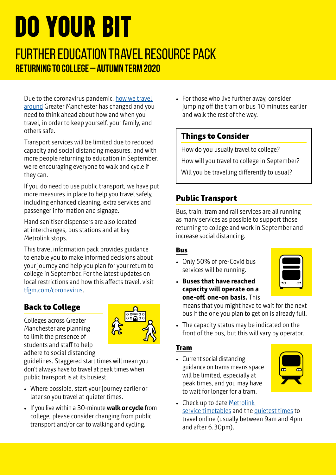# DO YOUR BIT

# Further Education Travel Resource Pack **Returning to College – Autumn term 2020**

Due to the coronavirus pandemic, [how we travel](https://tfgm.com/coronavirus/travel-options)  [around](https://tfgm.com/coronavirus/travel-options) Greater Manchester has changed and you need to think ahead about how and when you travel, in order to keep yourself, your family, and others safe.

Transport services will be limited due to reduced capacity and social distancing measures, and with more people returning to education in September, we're encouraging everyone to walk and cycle if they can.

If you do need to use public transport, we have put more measures in place to help you travel safely, including enhanced cleaning, extra services and passenger information and signage.

Hand sanitiser dispensers are also located at interchanges, bus stations and at key Metrolink stops.

This travel information pack provides guidance to enable you to make informed decisions about your journey and help you plan for your return to college in September. For the latest updates on local restrictions and how this affects travel, visit [tfgm.com/coronavirus](https://tfgm.com/coronavirus).

# **Back to College**

Colleges across Greater Manchester are planning to limit the presence of students and staff to help adhere to social distancing



guidelines. Staggered start times will mean you don't always have to travel at peak times when public transport is at its busiest.

- Where possible, start your journey earlier or later so you travel at quieter times.
- If you live within a 30-minute **walk or cycle** from college, please consider changing from public transport and/or car to walking and cycling.

• For those who live further away, consider jumping off the tram or bus 10 minutes earlier and walk the rest of the way.

# **Things to Consider**

How do you usually travel to college?

How will you travel to college in September?

Will you be travelling differently to usual?

# **Public Transport**

Bus, train, tram and rail services are all running as many services as possible to support those returning to college and work in September and increase social distancing.

## **Bus**

- Only 50% of pre-Covid bus services will be running.
- **Buses that have reached capacity will operate on a one-off, one-on basis.** This



means that you might have to wait for the next bus if the one you plan to get on is already full.

• The capacity status may be indicated on the front of the bus, but this will vary by operator.

## **Tram**

• Current social distancing guidance on trams means space will be limited, especially at peak times, and you may have to wait for longer for a tram.



• Check up to date Metrolink [service timetables](https://tfgm.com/coronavirus/public-transport) and the [quietest times](https://tfgm.com/public-transport/tram/quietest-times-to-travel-on-metrolink) to travel online (usually between 9am and 4pm and after 6.30pm).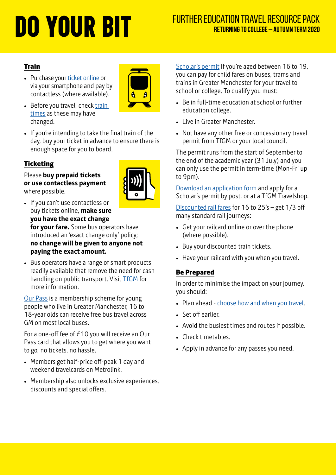# **DO YOUR BIT** FURTHER EDUCATION TRAVEL RESOURCE PACK RETURNING TO COLLEGE – AUTUMN TERM 2020 **Returning to College – Autumn term 2020**

#### **Train**

• Purchase your [ticket online](https://ojp.nationalrail.co.uk/service/planjourney/search) or via your smartphone and pay by contactless (where available).



- Before you travel, check train [times](https://www.nationalrail.co.uk) as these may have changed.
- If you're intending to take the final train of the day, buy your ticket in advance to ensure there is enough space for you to board.

#### **Ticketing**

Please **buy prepaid tickets or use contactless payment** where possible.



- If you can't use contactless or buy tickets online, **make sure you have the exact change for your fare.** Some bus operators have introduced an 'exact change only' policy; **no change will be given to anyone not paying the exact amount.**
- Bus operators have a range of smart products readily available that remove the need for cash handling on public transport. Visit **TfGM** for more information.

[Our Pass](https://ourpass.co.uk) is a membership scheme for young people who live in Greater Manchester, 16 to 18-year olds can receive free bus travel across GM on most local buses.

For a one-off fee of £10 you will receive an Our Pass card that allows you to get where you want to go, no tickets, no hassle.

- Members get half-price off-peak 1 day and weekend travelcards on Metrolink.
- Membership also unlocks exclusive experiences, discounts and special offers.

[Scholar's permit](https://tfgm.com/tickets-and-passes/scholars-pass) If you're aged between 16 to 19, you can pay for child fares on buses, trams and trains in Greater Manchester for your travel to school or college. To qualify you must:

- Be in full-time education at school or further education college.
- Live in Greater Manchester.
- Not have any other free or concessionary travel permit from TfGM or your local council.

The permit runs from the start of September to the end of the academic year (31 July) and you can only use the permit in term-time (Mon-Fri up to 9pm).

[Download an application form](https://assets.ctfassets.net/nv7y93idf4jq/m0yBvT2ePI2O68oC8WEaE/e9be7a4fd116d5f9738e62788b48d446/15-1204-Scholars-Concess-Permit-App.pdf) and apply for a Scholar's permit by post, or at a TfGM Travelshop.

[Discounted rail fares](https://www.16-25railcard.co.uk) for 16 to 25's – get 1/3 off many standard rail journeys:

- Get your railcard online or over the phone (where possible).
- Buy your discounted train tickets.
- Have your railcard with you when you travel.

#### **Be Prepared**

In order to minimise the impact on your journey, you should:

- Plan ahead [choose how and when you travel](https://tfgm.com/coronavirus/travel-options).
- Set off earlier.
- Avoid the busiest times and routes if possible.
- Check timetables.
- Apply in advance for any passes you need.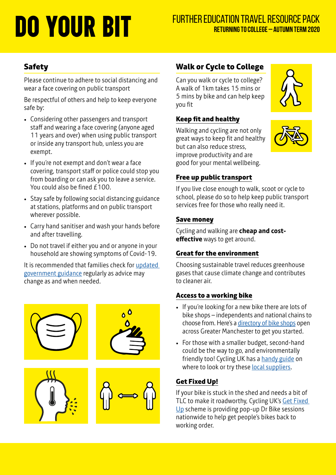# **DO YOUR BIT** FURTHER EDUCATION TRAVEL RESOURCE PACK RETURNING TO COLLEGE – AUTUMN TERM 2020 **Returning to College – Autumn term 2020**

## **Safety**

Please continue to adhere to social distancing and wear a face covering on public transport

Be respectful of others and help to keep everyone safe by:

- Considering other passengers and transport staff and wearing a face covering (anyone aged 11 years and over) when using public transport or inside any transport hub, unless you are exempt.
- If you're not exempt and don't wear a face covering, transport staff or police could stop you from boarding or can ask you to leave a service. You could also be fined  $f100$ .
- Stay safe by following social distancing guidance at stations, platforms and on public transport wherever possible.
- Carry hand sanitiser and wash your hands before and after travelling.
- Do not travel if either you and or anyone in your household are showing symptoms of Covid-19.

It is recommended that families check for [updated](https://tfgm.com/coronavirus/travel-options)  [government guidance](https://tfgm.com/coronavirus/travel-options) regularly as advice may change as and when needed.



## **Walk or Cycle to College**

Can you walk or cycle to college? A walk of 1km takes 15 mins or 5 mins by bike and can help keep you fit

#### **Keep fit and healthy**

Walking and cycling are not only great ways to keep fit and healthy but can also reduce stress, improve productivity and are good for your mental wellbeing.

#### **Free up public transport**

If you live close enough to walk, scoot or cycle to school, please do so to help keep public transport services free for those who really need it.

#### **Save money**

Cycling and walking are **cheap and costeffective** ways to get around.

#### **Great for the environment**

Choosing sustainable travel reduces greenhouse gases that cause climate change and contributes to cleaner air.

#### **Access to a working bike**

- If you're looking for a new bike there are lots of bike shops – independents and national chains to choose from. Here's a [directory of bike shops](https://www.thecyclingexperts.co.uk/find-a-shop/) open across Greater Manchester to get you started.
- For those with a smaller budget, second-hand could be the way to go, and environmentally friendly too! Cycling UK has a [handy guide](https://www.cyclinguk.org/article/cycling-guide/buy-secondhand-bike) on where to look or try these [local suppliers.](https://tfgm.com/cycling/access-to-bikes)

#### **Get Fixed Up!**

If your bike is stuck in the shed and needs a bit of TLC to make it roadworthy, Cycling UK's Get Fixed [Up](https://www.cyclinguk.org/pumpedup/get-fixed-up) scheme is providing pop-up Dr Bike sessions nationwide to help get people's bikes back to working order.



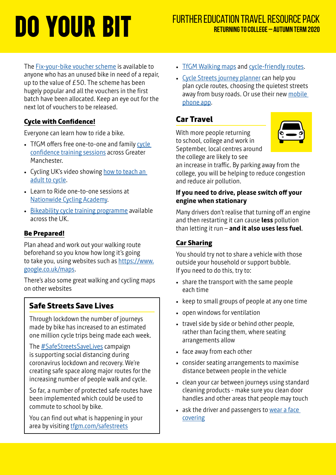The **Fix-your-bike voucher scheme** is available to anyone who has an unused bike in need of a repair, up to the value of £50. The scheme has been hugely popular and all the vouchers in the first batch have been allocated. Keep an eye out for the next lot of vouchers to be released.

#### **Cycle with Confidence!**

Everyone can learn how to ride a bike.

- TfGM offers free one-to-one and family cycle [confidence training sessions](https://tfgm.com/cycling/confidence) across Greater Manchester.
- Cycling UK's video showing how to teach an [adult to cycle.](https://www.cyclinguk.org/teachingadults)
- Learn to Ride one-to-one sessions at [Nationwide Cycling Academy.](https://www.ncagb.co.uk/adult-learn-to-ride-1-2-1/)
- [Bikeability cycle training programme](https://bikeability.org.uk/bikeability-training/) available across the UK.

#### **Be Prepared!**

Plan ahead and work out your walking route beforehand so you know how long it's going to take you, using websites such as [https://www.](https://www.google.co.uk/maps) [google.co.uk/maps](https://www.google.co.uk/maps).

There's also some great walking and cycling maps on other websites

#### **Safe Streets Save Lives**

Through lockdown the number of journeys made by bike has increased to an estimated one million cycle trips being made each week.

The #SafeStreetsSaveLives campaign is supporting social distancing during coronavirus lockdown and recovery. We're creating safe space along major routes for the increasing number of people walk and cycle.

So far, a number of protected safe routes have been implemented which could be used to commute to school by bike.

You can find out what is happening in your area by visiting **tfgm.com/safestreets** 

- [TfGM Walking maps](https://tfgm.com/cycling-and-walking/walking-maps) and [cycle-friendly routes](https://tfgm.com/cycling/maps).
- [Cycle Streets journey planner](https://www.cyclestreets.net) can help you plan cycle routes, choosing the quietest streets away from busy roads. Or use their new mobile [phone app.](https://www.cyclestreets.net/mobile/)

## **Car Travel**

With more people returning to school, college and work in September, local centres around the college are likely to see



an increase in traffic. By parking away from the college, you will be helping to reduce congestion and reduce air pollution.

#### **If you need to drive, please switch off your engine when stationary**

Many drivers don't realise that turning off an engine and then restarting it can cause **less** pollution than letting it run – **and it also uses less fuel**.

#### **Car Sharing**

You should try not to share a vehicle with those outside your household or support bubble. If you need to do this, try to:

- share the transport with the same people each time
- keep to small groups of people at any one time
- open windows for ventilation
- travel side by side or behind other people, rather than facing them, where seating arrangements allow
- face away from each other
- consider seating arrangements to maximise distance between people in the vehicle
- clean your car between journeys using standard cleaning products - make sure you clean door handles and other areas that people may touch
- ask the driver and passengers to wear a face [covering](https://www.gov.uk/guidance/coronavirus-covid-19-safer-travel-guidance-for-passengers#face-coverings)